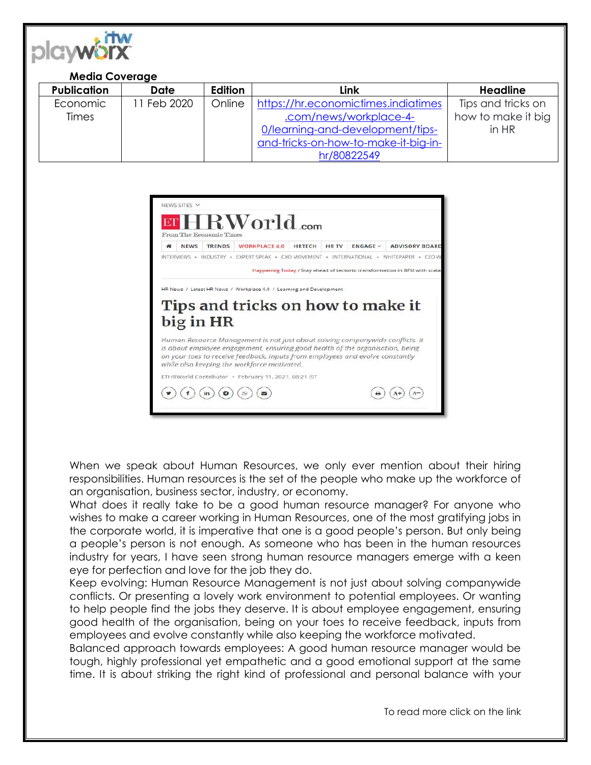

## **Media Coverage**

| <b>Publication</b> | Date       | Edition | Link                                 | <b>Headline</b>    |
|--------------------|------------|---------|--------------------------------------|--------------------|
| Economic           | 1 Feb 2020 | Online  | https://hr.economictimes.indiatimes  | Tips and tricks on |
| <b>Times</b>       |            |         | .com/news/workplace-4-               | how to make it big |
|                    |            |         | 0/learning-and-development/tips-     | in HR              |
|                    |            |         | and-tricks-on-how-to-make-it-big-in- |                    |
|                    |            |         | hr/80822549                          |                    |



When we speak about Human Resources, we only ever mention about their hiring responsibilities. Human resources is the set of the people who make up the workforce of an organisation, business sector, industry, or economy.

What does it really take to be a good human resource manager? For anyone who wishes to make a career working in Human Resources, one of the most gratifying jobs in the corporate world, it is imperative that one is a good people's person. But only being a people's person is not enough. As someone who has been in the human resources industry for years, I have seen strong human resource managers emerge with a keen eye for perfection and love for the job they do.

Keep evolving: Human Resource Management is not just about solving companywide conflicts. Or presenting a lovely work environment to potential employees. Or wanting to help people find the jobs they deserve. It is about employee engagement, ensuring good health of the organisation, being on your toes to receive feedback, inputs from employees and evolve constantly while also keeping the workforce motivated.

Balanced approach towards employees: A good human resource manager would be tough, highly professional yet empathetic and a good emotional support at the same time. It is about striking the right kind of professional and personal balance with your

To read more click on the link